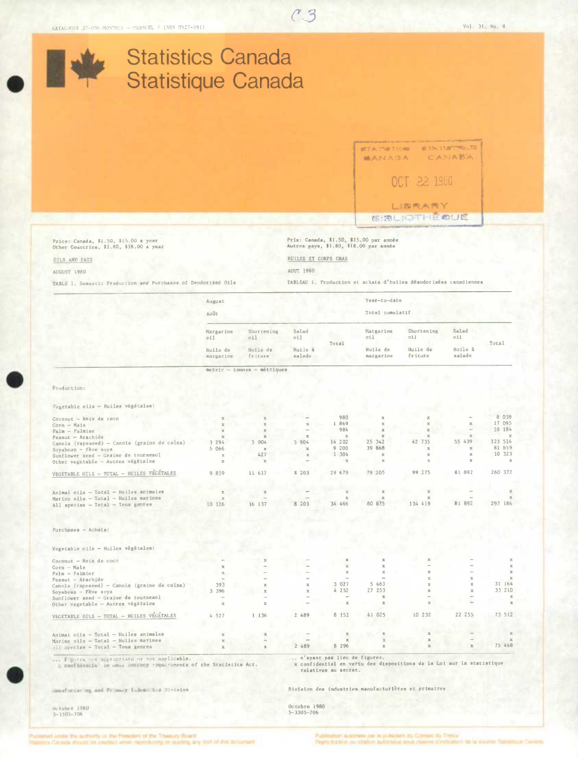**Statistics Canada** 



mail senseing and Perincy. Universited Styleton

Division des industries manufacturières et primaires

October 1980  $5 - 3305 - 706$ 

Octobre 1980<br>5-3305-706

id under the surfamily as the President of the Treesury Board

re par la politiciant du Comes de Trimor